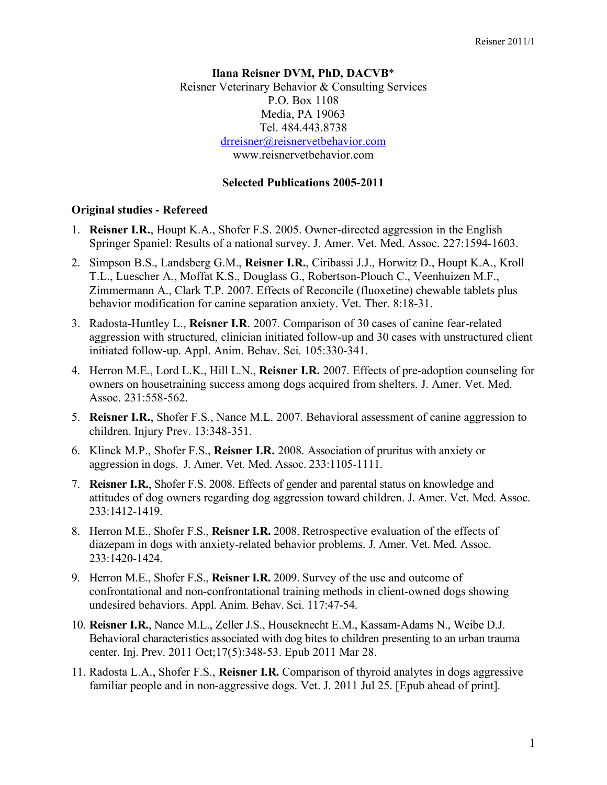### **Ilana Reisner DVM, PhD, DACVB**\* Reisner Veterinary Behavior & Consulting Services P.O. Box 1108 Media, PA 19063 Tel. 484.443.8738 drreisner@reisnervetbehavior.com www.reisnervetbehavior.com

### **Selected Publications 2005-2011**

#### **Original studies - Refereed**

- 1. **Reisner I.R.**, Houpt K.A., Shofer F.S. 2005. Owner-directed aggression in the English Springer Spaniel: Results of a national survey. J. Amer. Vet. Med. Assoc. 227:1594-1603.
- 2. Simpson B.S., Landsberg G.M., **Reisner I.R.**, Ciribassi J.J., Horwitz D., Houpt K.A., Kroll T.L., Luescher A., Moffat K.S., Douglass G., Robertson-Plouch C., Veenhuizen M.F., Zimmermann A., Clark T.P. 2007. Effects of Reconcile (fluoxetine) chewable tablets plus behavior modification for canine separation anxiety. Vet. Ther. 8:18-31.
- 3. Radosta-Huntley L., **Reisner I.R**. 2007. Comparison of 30 cases of canine fear-related aggression with structured, clinician initiated follow-up and 30 cases with unstructured client initiated follow-up. Appl. Anim. Behav. Sci. 105:330-341.
- 4. Herron M.E., Lord L.K., Hill L.N., **Reisner I.R.** 2007. Effects of pre-adoption counseling for owners on housetraining success among dogs acquired from shelters. J. Amer. Vet. Med. Assoc. 231:558-562.
- 5. **Reisner I.R.**, Shofer F.S., Nance M.L. 2007. Behavioral assessment of canine aggression to children. Injury Prev. 13:348-351.
- 6. Klinck M.P., Shofer F.S., **Reisner I.R.** 2008. Association of pruritus with anxiety or aggression in dogs. J. Amer. Vet. Med. Assoc. 233:1105-1111.
- 7. **Reisner I.R.**, Shofer F.S. 2008. Effects of gender and parental status on knowledge and attitudes of dog owners regarding dog aggression toward children. J. Amer. Vet. Med. Assoc. 233:1412-1419.
- 8. Herron M.E., Shofer F.S., **Reisner I.R.** 2008. Retrospective evaluation of the effects of diazepam in dogs with anxiety-related behavior problems. J. Amer. Vet. Med. Assoc. 233:1420-1424.
- 9. Herron M.E., Shofer F.S., **Reisner I.R.** 2009. Survey of the use and outcome of confrontational and non-confrontational training methods in client-owned dogs showing undesired behaviors. Appl. Anim. Behav. Sci. 117:47-54.
- 10. **Reisner I.R.**, Nance M.L., Zeller J.S., Houseknecht E.M., Kassam-Adams N., Weibe D.J. Behavioral characteristics associated with dog bites to children presenting to an urban trauma center. Inj. Prev. 2011 Oct;17(5):348-53. Epub 2011 Mar 28.
- 11. Radosta L.A., Shofer F.S., **Reisner I.R.** Comparison of thyroid analytes in dogs aggressive familiar people and in non-aggressive dogs. Vet. J. 2011 Jul 25. [Epub ahead of print].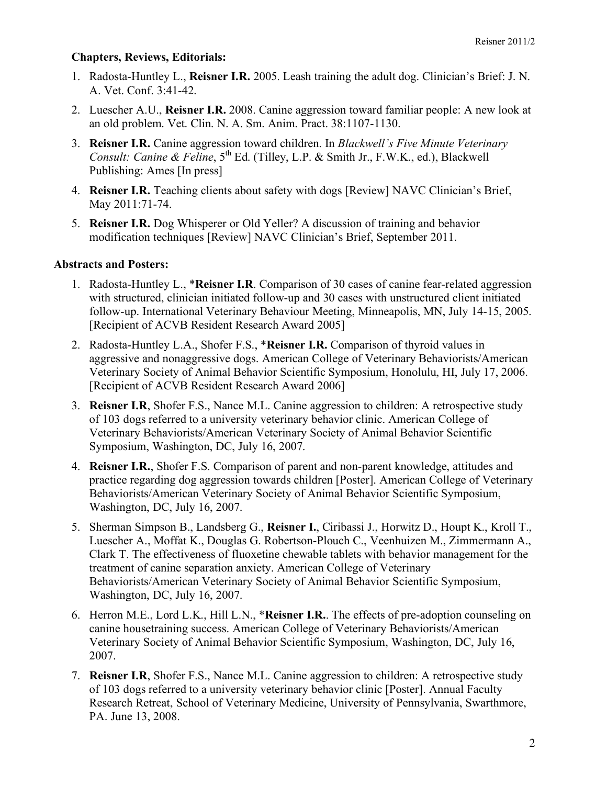# **Chapters, Reviews, Editorials:**

- 1. Radosta-Huntley L., **Reisner I.R.** 2005. Leash training the adult dog. Clinician's Brief: J. N. A. Vet. Conf. 3:41-42.
- 2. Luescher A.U., **Reisner I.R.** 2008. Canine aggression toward familiar people: A new look at an old problem. Vet. Clin. N. A. Sm. Anim. Pract. 38:1107-1130.
- 3. **Reisner I.R.** Canine aggression toward children. In *Blackwell's Five Minute Veterinary Consult: Canine & Feline*,  $5<sup>th</sup>$  Ed. (Tilley, L.P. & Smith Jr., F.W.K., ed.), Blackwell Publishing: Ames [In press]
- 4. **Reisner I.R.** Teaching clients about safety with dogs [Review] NAVC Clinician's Brief, May 2011:71-74.
- 5. **Reisner I.R.** Dog Whisperer or Old Yeller? A discussion of training and behavior modification techniques [Review] NAVC Clinician's Brief, September 2011.

## **Abstracts and Posters:**

- 1. Radosta-Huntley L., \***Reisner I.R**. Comparison of 30 cases of canine fear-related aggression with structured, clinician initiated follow-up and 30 cases with unstructured client initiated follow-up. International Veterinary Behaviour Meeting, Minneapolis, MN, July 14-15, 2005. [Recipient of ACVB Resident Research Award 2005]
- 2. Radosta-Huntley L.A., Shofer F.S., \***Reisner I.R.** Comparison of thyroid values in aggressive and nonaggressive dogs. American College of Veterinary Behaviorists/American Veterinary Society of Animal Behavior Scientific Symposium, Honolulu, HI, July 17, 2006. [Recipient of ACVB Resident Research Award 2006]
- 3. **Reisner I.R**, Shofer F.S., Nance M.L. Canine aggression to children: A retrospective study of 103 dogs referred to a university veterinary behavior clinic. American College of Veterinary Behaviorists/American Veterinary Society of Animal Behavior Scientific Symposium, Washington, DC, July 16, 2007.
- 4. **Reisner I.R.**, Shofer F.S. Comparison of parent and non-parent knowledge, attitudes and practice regarding dog aggression towards children [Poster]. American College of Veterinary Behaviorists/American Veterinary Society of Animal Behavior Scientific Symposium, Washington, DC, July 16, 2007.
- 5. Sherman Simpson B., Landsberg G., **Reisner I.**, Ciribassi J., Horwitz D., Houpt K., Kroll T., Luescher A., Moffat K., Douglas G. Robertson-Plouch C., Veenhuizen M., Zimmermann A., Clark T. The effectiveness of fluoxetine chewable tablets with behavior management for the treatment of canine separation anxiety. American College of Veterinary Behaviorists/American Veterinary Society of Animal Behavior Scientific Symposium, Washington, DC, July 16, 2007.
- 6. Herron M.E., Lord L.K., Hill L.N., \***Reisner I.R.**. The effects of pre-adoption counseling on canine housetraining success. American College of Veterinary Behaviorists/American Veterinary Society of Animal Behavior Scientific Symposium, Washington, DC, July 16, 2007.
- 7. **Reisner I.R**, Shofer F.S., Nance M.L. Canine aggression to children: A retrospective study of 103 dogs referred to a university veterinary behavior clinic [Poster]. Annual Faculty Research Retreat, School of Veterinary Medicine, University of Pennsylvania, Swarthmore, PA. June 13, 2008.